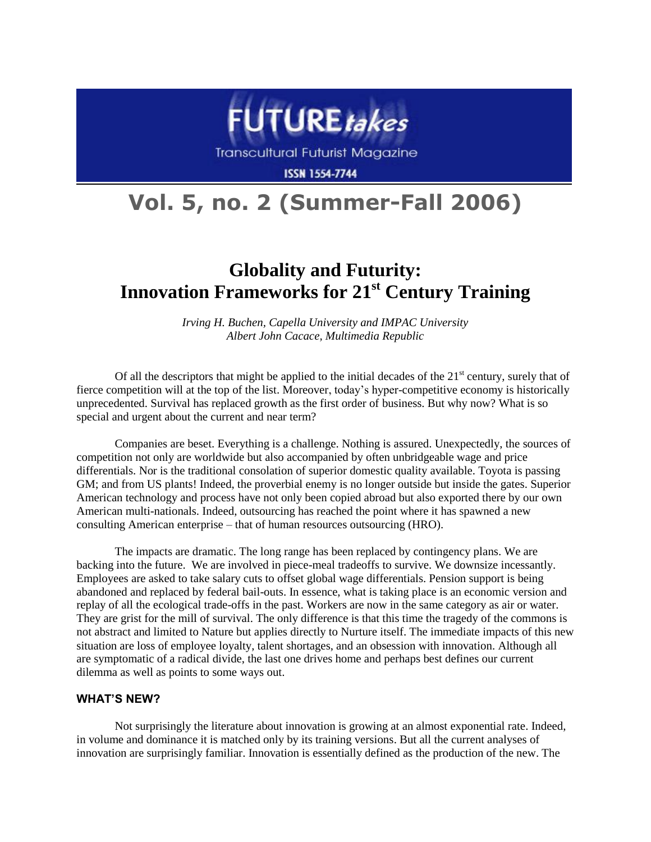

**Transcultural Futurist Magazine** 

**ISSN 1554-7744** 

# **Vol. 5, no. 2 (Summer-Fall 2006)**

## **Globality and Futurity: Innovation Frameworks for 21st Century Training**

*Irving H. Buchen, Capella University and IMPAC University Albert John Cacace, Multimedia Republic*

Of all the descriptors that might be applied to the initial decades of the  $21<sup>st</sup>$  century, surely that of fierce competition will at the top of the list. Moreover, today's hyper-competitive economy is historically unprecedented. Survival has replaced growth as the first order of business. But why now? What is so special and urgent about the current and near term?

Companies are beset. Everything is a challenge. Nothing is assured. Unexpectedly, the sources of competition not only are worldwide but also accompanied by often unbridgeable wage and price differentials. Nor is the traditional consolation of superior domestic quality available. Toyota is passing GM; and from US plants! Indeed, the proverbial enemy is no longer outside but inside the gates. Superior American technology and process have not only been copied abroad but also exported there by our own American multi-nationals. Indeed, outsourcing has reached the point where it has spawned a new consulting American enterprise – that of human resources outsourcing (HRO).

The impacts are dramatic. The long range has been replaced by contingency plans. We are backing into the future. We are involved in piece-meal tradeoffs to survive. We downsize incessantly. Employees are asked to take salary cuts to offset global wage differentials. Pension support is being abandoned and replaced by federal bail-outs. In essence, what is taking place is an economic version and replay of all the ecological trade-offs in the past. Workers are now in the same category as air or water. They are grist for the mill of survival. The only difference is that this time the tragedy of the commons is not abstract and limited to Nature but applies directly to Nurture itself. The immediate impacts of this new situation are loss of employee loyalty, talent shortages, and an obsession with innovation. Although all are symptomatic of a radical divide, the last one drives home and perhaps best defines our current dilemma as well as points to some ways out.

#### **WHAT'S NEW?**

Not surprisingly the literature about innovation is growing at an almost exponential rate. Indeed, in volume and dominance it is matched only by its training versions. But all the current analyses of innovation are surprisingly familiar. Innovation is essentially defined as the production of the new. The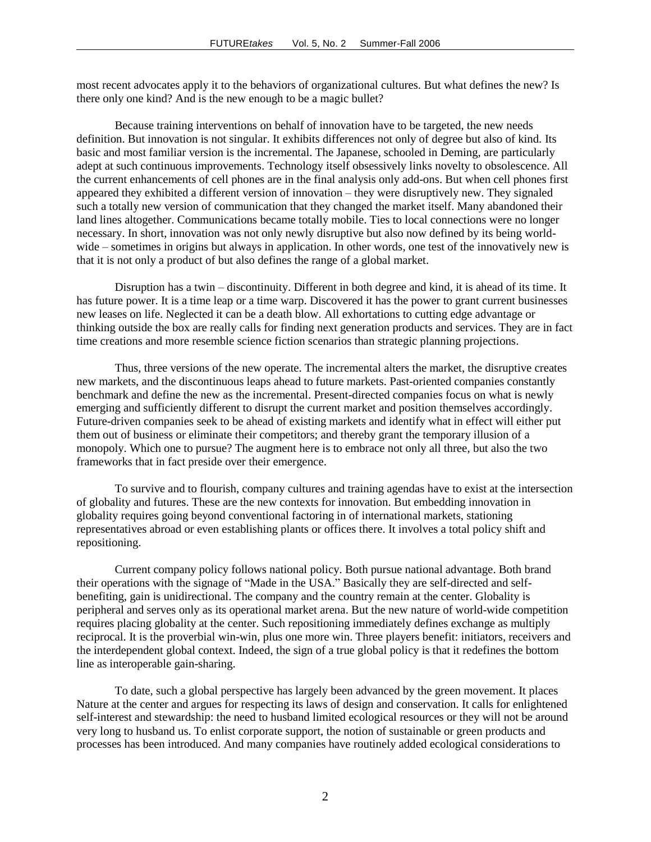most recent advocates apply it to the behaviors of organizational cultures. But what defines the new? Is there only one kind? And is the new enough to be a magic bullet?

Because training interventions on behalf of innovation have to be targeted, the new needs definition. But innovation is not singular. It exhibits differences not only of degree but also of kind. Its basic and most familiar version is the incremental. The Japanese, schooled in Deming, are particularly adept at such continuous improvements. Technology itself obsessively links novelty to obsolescence. All the current enhancements of cell phones are in the final analysis only add-ons. But when cell phones first appeared they exhibited a different version of innovation – they were disruptively new. They signaled such a totally new version of communication that they changed the market itself. Many abandoned their land lines altogether. Communications became totally mobile. Ties to local connections were no longer necessary. In short, innovation was not only newly disruptive but also now defined by its being worldwide – sometimes in origins but always in application. In other words, one test of the innovatively new is that it is not only a product of but also defines the range of a global market.

Disruption has a twin – discontinuity. Different in both degree and kind, it is ahead of its time. It has future power. It is a time leap or a time warp. Discovered it has the power to grant current businesses new leases on life. Neglected it can be a death blow. All exhortations to cutting edge advantage or thinking outside the box are really calls for finding next generation products and services. They are in fact time creations and more resemble science fiction scenarios than strategic planning projections.

Thus, three versions of the new operate. The incremental alters the market, the disruptive creates new markets, and the discontinuous leaps ahead to future markets. Past-oriented companies constantly benchmark and define the new as the incremental. Present-directed companies focus on what is newly emerging and sufficiently different to disrupt the current market and position themselves accordingly. Future-driven companies seek to be ahead of existing markets and identify what in effect will either put them out of business or eliminate their competitors; and thereby grant the temporary illusion of a monopoly. Which one to pursue? The augment here is to embrace not only all three, but also the two frameworks that in fact preside over their emergence.

To survive and to flourish, company cultures and training agendas have to exist at the intersection of globality and futures. These are the new contexts for innovation. But embedding innovation in globality requires going beyond conventional factoring in of international markets, stationing representatives abroad or even establishing plants or offices there. It involves a total policy shift and repositioning.

Current company policy follows national policy. Both pursue national advantage. Both brand their operations with the signage of "Made in the USA." Basically they are self-directed and selfbenefiting, gain is unidirectional. The company and the country remain at the center. Globality is peripheral and serves only as its operational market arena. But the new nature of world-wide competition requires placing globality at the center. Such repositioning immediately defines exchange as multiply reciprocal. It is the proverbial win-win, plus one more win. Three players benefit: initiators, receivers and the interdependent global context. Indeed, the sign of a true global policy is that it redefines the bottom line as interoperable gain-sharing.

To date, such a global perspective has largely been advanced by the green movement. It places Nature at the center and argues for respecting its laws of design and conservation. It calls for enlightened self-interest and stewardship: the need to husband limited ecological resources or they will not be around very long to husband us. To enlist corporate support, the notion of sustainable or green products and processes has been introduced. And many companies have routinely added ecological considerations to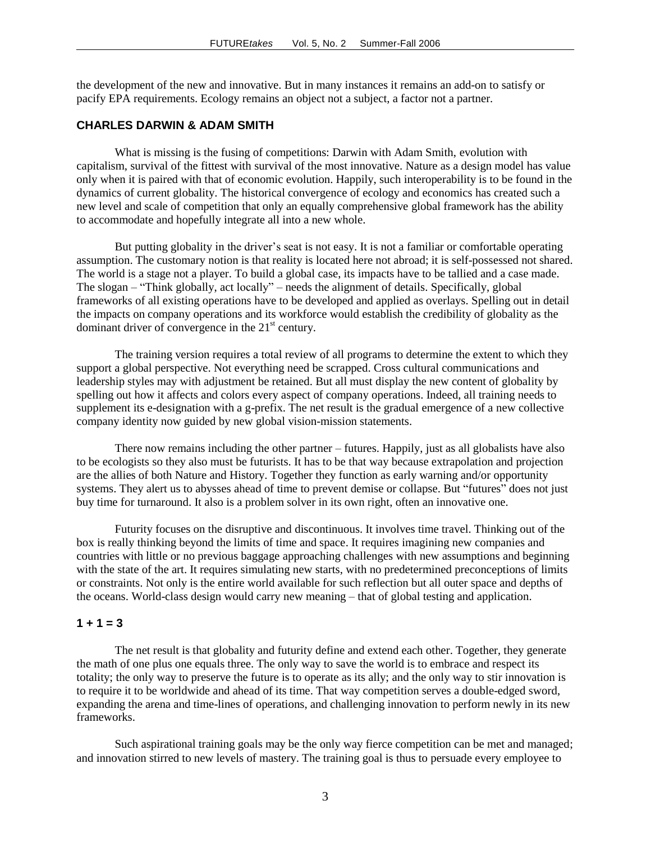the development of the new and innovative. But in many instances it remains an add-on to satisfy or pacify EPA requirements. Ecology remains an object not a subject, a factor not a partner.

#### **CHARLES DARWIN & ADAM SMITH**

What is missing is the fusing of competitions: Darwin with Adam Smith, evolution with capitalism, survival of the fittest with survival of the most innovative. Nature as a design model has value only when it is paired with that of economic evolution. Happily, such interoperability is to be found in the dynamics of current globality. The historical convergence of ecology and economics has created such a new level and scale of competition that only an equally comprehensive global framework has the ability to accommodate and hopefully integrate all into a new whole.

But putting globality in the driver's seat is not easy. It is not a familiar or comfortable operating assumption. The customary notion is that reality is located here not abroad; it is self-possessed not shared. The world is a stage not a player. To build a global case, its impacts have to be tallied and a case made. The slogan – "Think globally, act locally" – needs the alignment of details. Specifically, global frameworks of all existing operations have to be developed and applied as overlays. Spelling out in detail the impacts on company operations and its workforce would establish the credibility of globality as the dominant driver of convergence in the  $21<sup>st</sup>$  century.

The training version requires a total review of all programs to determine the extent to which they support a global perspective. Not everything need be scrapped. Cross cultural communications and leadership styles may with adjustment be retained. But all must display the new content of globality by spelling out how it affects and colors every aspect of company operations. Indeed, all training needs to supplement its e-designation with a g-prefix. The net result is the gradual emergence of a new collective company identity now guided by new global vision-mission statements.

There now remains including the other partner – futures. Happily, just as all globalists have also to be ecologists so they also must be futurists. It has to be that way because extrapolation and projection are the allies of both Nature and History. Together they function as early warning and/or opportunity systems. They alert us to abysses ahead of time to prevent demise or collapse. But "futures" does not just buy time for turnaround. It also is a problem solver in its own right, often an innovative one.

Futurity focuses on the disruptive and discontinuous. It involves time travel. Thinking out of the box is really thinking beyond the limits of time and space. It requires imagining new companies and countries with little or no previous baggage approaching challenges with new assumptions and beginning with the state of the art. It requires simulating new starts, with no predetermined preconceptions of limits or constraints. Not only is the entire world available for such reflection but all outer space and depths of the oceans. World-class design would carry new meaning – that of global testing and application.

#### $1 + 1 = 3$

The net result is that globality and futurity define and extend each other. Together, they generate the math of one plus one equals three. The only way to save the world is to embrace and respect its totality; the only way to preserve the future is to operate as its ally; and the only way to stir innovation is to require it to be worldwide and ahead of its time. That way competition serves a double-edged sword, expanding the arena and time-lines of operations, and challenging innovation to perform newly in its new frameworks.

Such aspirational training goals may be the only way fierce competition can be met and managed; and innovation stirred to new levels of mastery. The training goal is thus to persuade every employee to